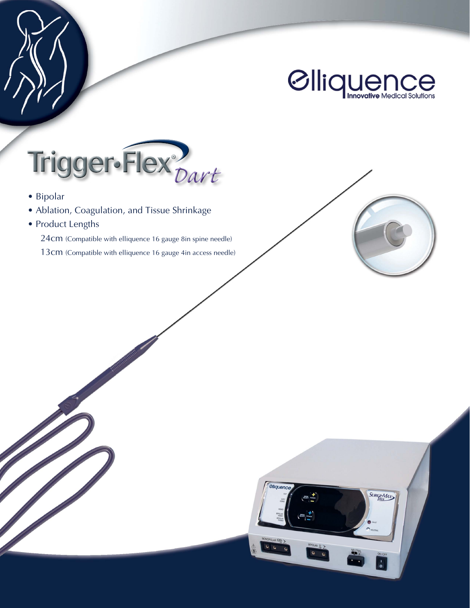



SURGI-MAX



- Bipolar
- Ablation, Coagulation, and Tissue Shrinkage
- Product Lengths

24cm (Compatible with elliquence 16 gauge 8in spine needle)

13cm (Compatible with elliquence 16 gauge 4in access needle)